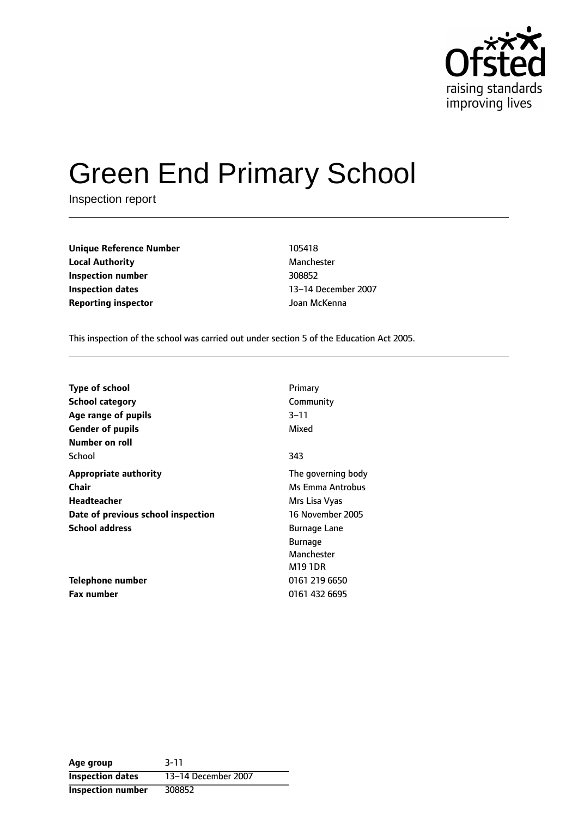

# Green End Primary School

Inspection report

| <b>Unique Reference Number</b> | 105418       |
|--------------------------------|--------------|
| <b>Local Authority</b>         | Manchester   |
| Inspection number              | 308852       |
| <b>Inspection dates</b>        | 13–14 Decemb |
| <b>Reporting inspector</b>     | Joan McKenna |

**Manchester** 13-14 December 2007

This inspection of the school was carried out under section 5 of the Education Act 2005.

| <b>Type of school</b>              | Primary            |
|------------------------------------|--------------------|
| <b>School category</b>             | Community          |
| Age range of pupils                | $3 - 11$           |
| <b>Gender of pupils</b>            | Mixed              |
| Number on roll                     |                    |
| School                             | 343                |
| <b>Appropriate authority</b>       | The governing body |
| Chair                              | Ms Emma Antrobus   |
| Headteacher                        | Mrs Lisa Vyas      |
| Date of previous school inspection | 16 November 2005   |
| <b>School address</b>              | Burnage Lane       |
|                                    | <b>Burnage</b>     |
|                                    | Manchester         |
|                                    | M19 1DR            |
| Telephone number                   | 0161 219 6650      |
| <b>Fax number</b>                  | 0161 432 6695      |

**Age group** 3-11 **Inspection dates** 13-14 December 2007 **Inspection number** 308852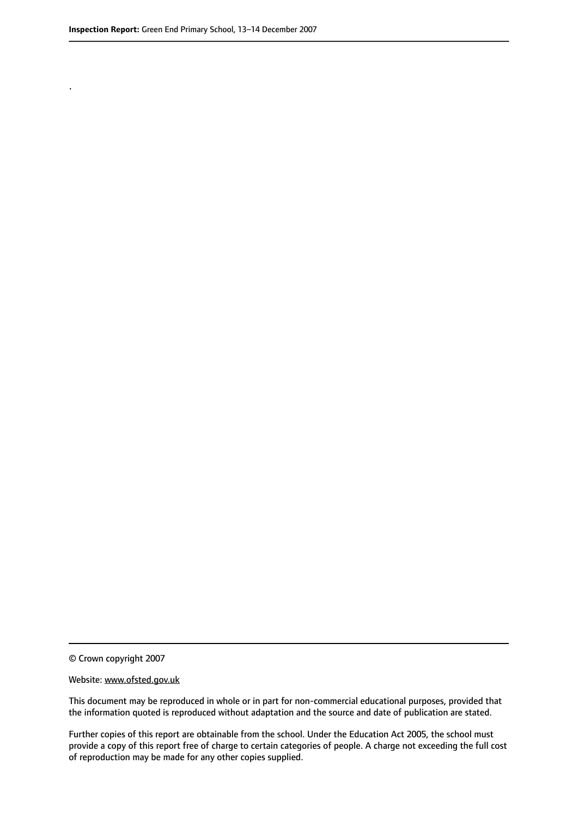.

© Crown copyright 2007

#### Website: www.ofsted.gov.uk

This document may be reproduced in whole or in part for non-commercial educational purposes, provided that the information quoted is reproduced without adaptation and the source and date of publication are stated.

Further copies of this report are obtainable from the school. Under the Education Act 2005, the school must provide a copy of this report free of charge to certain categories of people. A charge not exceeding the full cost of reproduction may be made for any other copies supplied.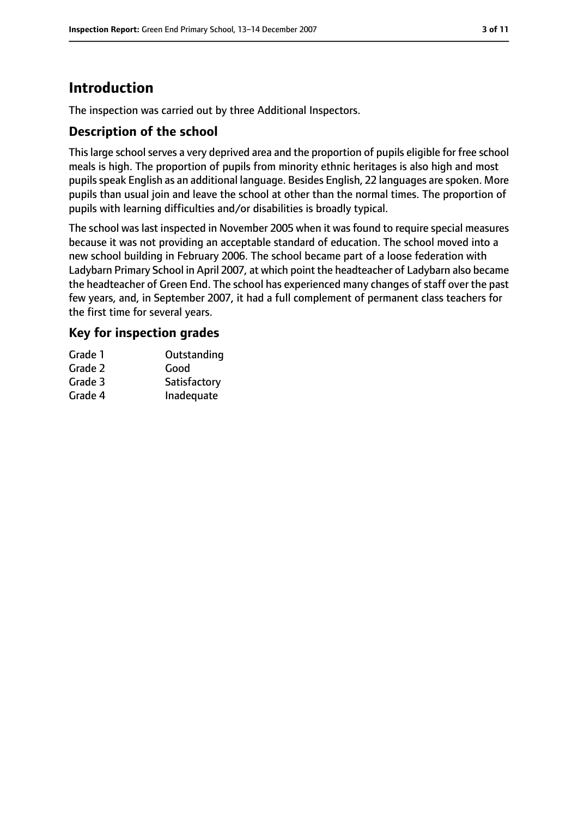# **Introduction**

The inspection was carried out by three Additional Inspectors.

## **Description of the school**

This large school serves a very deprived area and the proportion of pupils eligible for free school meals is high. The proportion of pupils from minority ethnic heritages is also high and most pupils speak English as an additional language. Besides English, 22 languages are spoken. More pupils than usual join and leave the school at other than the normal times. The proportion of pupils with learning difficulties and/or disabilities is broadly typical.

The school was last inspected in November 2005 when it was found to require special measures because it was not providing an acceptable standard of education. The school moved into a new school building in February 2006. The school became part of a loose federation with Ladybarn Primary School in April 2007, at which point the headteacher of Ladybarn also became the headteacher of Green End. The school has experienced many changes of staff over the past few years, and, in September 2007, it had a full complement of permanent class teachers for the first time for several years.

## **Key for inspection grades**

| Grade 1 | Outstanding  |
|---------|--------------|
| Grade 2 | Good         |
| Grade 3 | Satisfactory |
| Grade 4 | Inadequate   |
|         |              |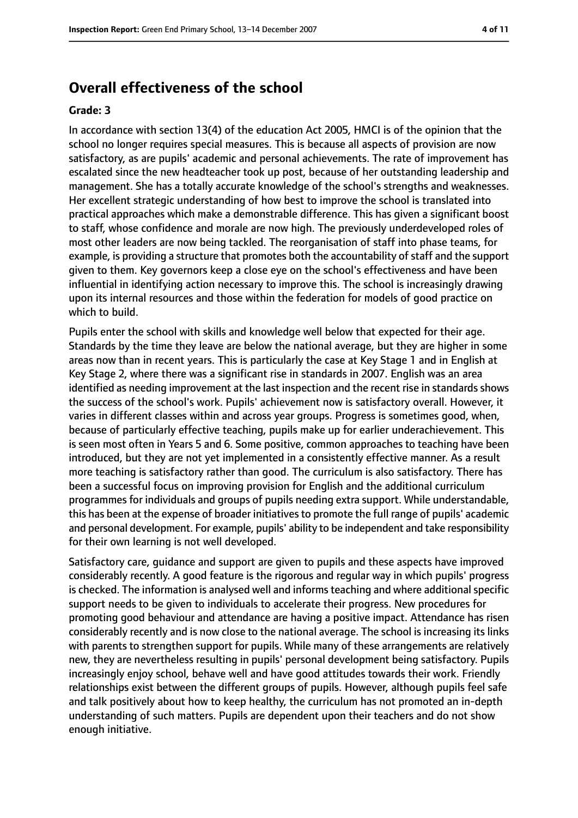# **Overall effectiveness of the school**

#### **Grade: 3**

In accordance with section 13(4) of the education Act 2005, HMCI is of the opinion that the school no longer requires special measures. This is because all aspects of provision are now satisfactory, as are pupils' academic and personal achievements. The rate of improvement has escalated since the new headteacher took up post, because of her outstanding leadership and management. She has a totally accurate knowledge of the school's strengths and weaknesses. Her excellent strategic understanding of how best to improve the school is translated into practical approaches which make a demonstrable difference. This has given a significant boost to staff, whose confidence and morale are now high. The previously underdeveloped roles of most other leaders are now being tackled. The reorganisation of staff into phase teams, for example, is providing a structure that promotes both the accountability of staff and the support given to them. Key governors keep a close eye on the school's effectiveness and have been influential in identifying action necessary to improve this. The school is increasingly drawing upon its internal resources and those within the federation for models of good practice on which to build.

Pupils enter the school with skills and knowledge well below that expected for their age. Standards by the time they leave are below the national average, but they are higher in some areas now than in recent years. This is particularly the case at Key Stage 1 and in English at Key Stage 2, where there was a significant rise in standards in 2007. English was an area identified as needing improvement at the last inspection and the recent rise in standards shows the success of the school's work. Pupils' achievement now is satisfactory overall. However, it varies in different classes within and across year groups. Progress is sometimes good, when, because of particularly effective teaching, pupils make up for earlier underachievement. This is seen most often in Years 5 and 6. Some positive, common approaches to teaching have been introduced, but they are not yet implemented in a consistently effective manner. As a result more teaching is satisfactory rather than good. The curriculum is also satisfactory. There has been a successful focus on improving provision for English and the additional curriculum programmes for individuals and groups of pupils needing extra support. While understandable, this has been at the expense of broader initiatives to promote the full range of pupils' academic and personal development. For example, pupils' ability to be independent and take responsibility for their own learning is not well developed.

Satisfactory care, guidance and support are given to pupils and these aspects have improved considerably recently. A good feature is the rigorous and regular way in which pupils' progress is checked. The information is analysed well and informs teaching and where additional specific support needs to be given to individuals to accelerate their progress. New procedures for promoting good behaviour and attendance are having a positive impact. Attendance has risen considerably recently and is now close to the national average. The school is increasing its links with parents to strengthen support for pupils. While many of these arrangements are relatively new, they are nevertheless resulting in pupils' personal development being satisfactory. Pupils increasingly enjoy school, behave well and have good attitudes towards their work. Friendly relationships exist between the different groups of pupils. However, although pupils feel safe and talk positively about how to keep healthy, the curriculum has not promoted an in-depth understanding of such matters. Pupils are dependent upon their teachers and do not show enough initiative.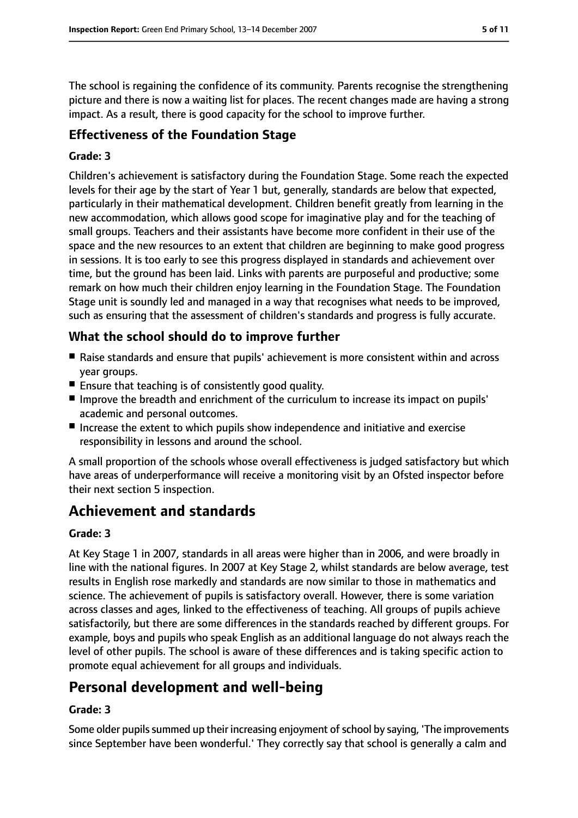The school is regaining the confidence of its community. Parents recognise the strengthening picture and there is now a waiting list for places. The recent changes made are having a strong impact. As a result, there is good capacity for the school to improve further.

# **Effectiveness of the Foundation Stage**

#### **Grade: 3**

Children's achievement is satisfactory during the Foundation Stage. Some reach the expected levels for their age by the start of Year 1 but, generally, standards are below that expected, particularly in their mathematical development. Children benefit greatly from learning in the new accommodation, which allows good scope for imaginative play and for the teaching of small groups. Teachers and their assistants have become more confident in their use of the space and the new resources to an extent that children are beginning to make good progress in sessions. It is too early to see this progress displayed in standards and achievement over time, but the ground has been laid. Links with parents are purposeful and productive; some remark on how much their children enjoy learning in the Foundation Stage. The Foundation Stage unit is soundly led and managed in a way that recognises what needs to be improved, such as ensuring that the assessment of children's standards and progress is fully accurate.

# **What the school should do to improve further**

- Raise standards and ensure that pupils' achievement is more consistent within and across year groups.
- Ensure that teaching is of consistently good quality.
- Improve the breadth and enrichment of the curriculum to increase its impact on pupils' academic and personal outcomes.
- Increase the extent to which pupils show independence and initiative and exercise responsibility in lessons and around the school.

A small proportion of the schools whose overall effectiveness is judged satisfactory but which have areas of underperformance will receive a monitoring visit by an Ofsted inspector before their next section 5 inspection.

# **Achievement and standards**

#### **Grade: 3**

At Key Stage 1 in 2007, standards in all areas were higher than in 2006, and were broadly in line with the national figures. In 2007 at Key Stage 2, whilst standards are below average, test results in English rose markedly and standards are now similar to those in mathematics and science. The achievement of pupils is satisfactory overall. However, there is some variation across classes and ages, linked to the effectiveness of teaching. All groups of pupils achieve satisfactorily, but there are some differences in the standards reached by different groups. For example, boys and pupils who speak English as an additional language do not always reach the level of other pupils. The school is aware of these differences and is taking specific action to promote equal achievement for all groups and individuals.

# **Personal development and well-being**

## **Grade: 3**

Some older pupils summed up their increasing enjoyment of school by saying, 'The improvements since September have been wonderful.' They correctly say that school is generally a calm and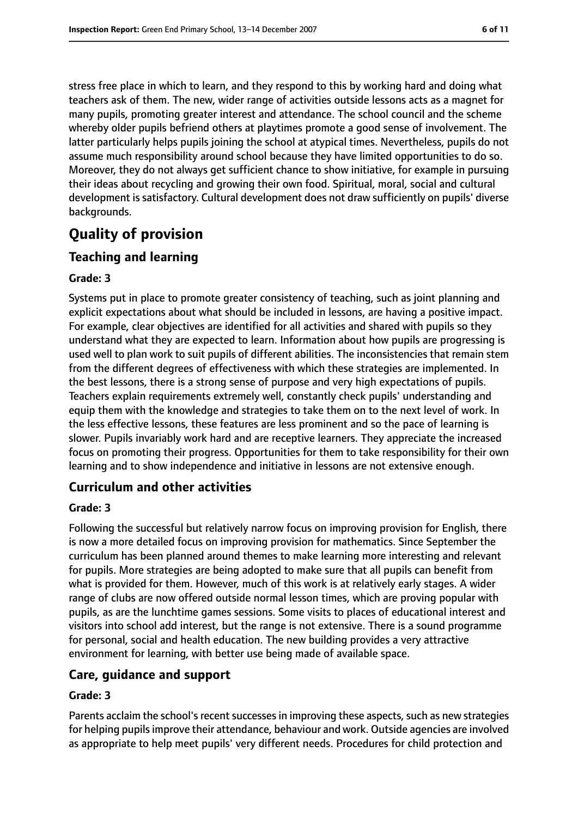stress free place in which to learn, and they respond to this by working hard and doing what teachers ask of them. The new, wider range of activities outside lessons acts as a magnet for many pupils, promoting greater interest and attendance. The school council and the scheme whereby older pupils befriend others at playtimes promote a good sense of involvement. The latter particularly helps pupils joining the school at atypical times. Nevertheless, pupils do not assume much responsibility around school because they have limited opportunities to do so. Moreover, they do not always get sufficient chance to show initiative, for example in pursuing their ideas about recycling and growing their own food. Spiritual, moral, social and cultural development is satisfactory. Cultural development does not draw sufficiently on pupils' diverse backgrounds.

# **Quality of provision**

## **Teaching and learning**

#### **Grade: 3**

Systems put in place to promote greater consistency of teaching, such as joint planning and explicit expectations about what should be included in lessons, are having a positive impact. For example, clear objectives are identified for all activities and shared with pupils so they understand what they are expected to learn. Information about how pupils are progressing is used well to plan work to suit pupils of different abilities. The inconsistencies that remain stem from the different degrees of effectiveness with which these strategies are implemented. In the best lessons, there is a strong sense of purpose and very high expectations of pupils. Teachers explain requirements extremely well, constantly check pupils' understanding and equip them with the knowledge and strategies to take them on to the next level of work. In the less effective lessons, these features are less prominent and so the pace of learning is slower. Pupils invariably work hard and are receptive learners. They appreciate the increased focus on promoting their progress. Opportunities for them to take responsibility for their own learning and to show independence and initiative in lessons are not extensive enough.

## **Curriculum and other activities**

#### **Grade: 3**

Following the successful but relatively narrow focus on improving provision for English, there is now a more detailed focus on improving provision for mathematics. Since September the curriculum has been planned around themes to make learning more interesting and relevant for pupils. More strategies are being adopted to make sure that all pupils can benefit from what is provided for them. However, much of this work is at relatively early stages. A wider range of clubs are now offered outside normal lesson times, which are proving popular with pupils, as are the lunchtime games sessions. Some visits to places of educational interest and visitors into school add interest, but the range is not extensive. There is a sound programme for personal, social and health education. The new building provides a very attractive environment for learning, with better use being made of available space.

## **Care, guidance and support**

#### **Grade: 3**

Parents acclaim the school's recent successes in improving these aspects, such as new strategies for helping pupilsimprove their attendance, behaviour and work. Outside agencies are involved as appropriate to help meet pupils' very different needs. Procedures for child protection and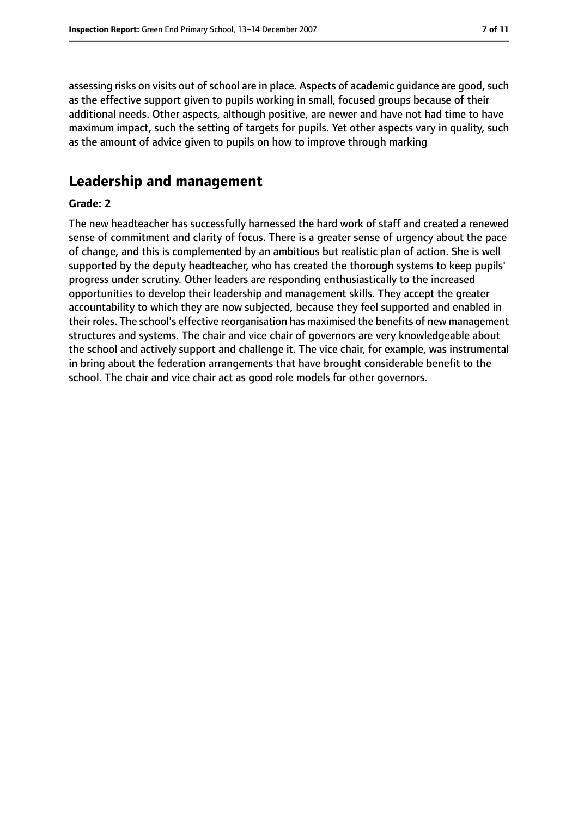assessing risks on visits out of school are in place. Aspects of academic guidance are good, such as the effective support given to pupils working in small, focused groups because of their additional needs. Other aspects, although positive, are newer and have not had time to have maximum impact, such the setting of targets for pupils. Yet other aspects vary in quality, such as the amount of advice given to pupils on how to improve through marking

# **Leadership and management**

#### **Grade: 2**

The new headteacher has successfully harnessed the hard work of staff and created a renewed sense of commitment and clarity of focus. There is a greater sense of urgency about the pace of change, and this is complemented by an ambitious but realistic plan of action. She is well supported by the deputy headteacher, who has created the thorough systems to keep pupils' progress under scrutiny. Other leaders are responding enthusiastically to the increased opportunities to develop their leadership and management skills. They accept the greater accountability to which they are now subjected, because they feel supported and enabled in their roles. The school's effective reorganisation has maximised the benefits of new management structures and systems. The chair and vice chair of governors are very knowledgeable about the school and actively support and challenge it. The vice chair, for example, was instrumental in bring about the federation arrangements that have brought considerable benefit to the school. The chair and vice chair act as good role models for other governors.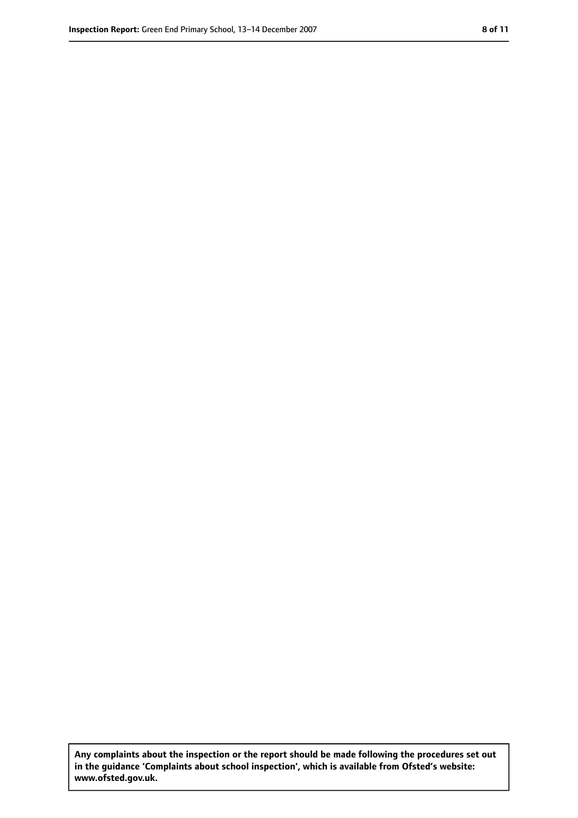**Any complaints about the inspection or the report should be made following the procedures set out in the guidance 'Complaints about school inspection', which is available from Ofsted's website: www.ofsted.gov.uk.**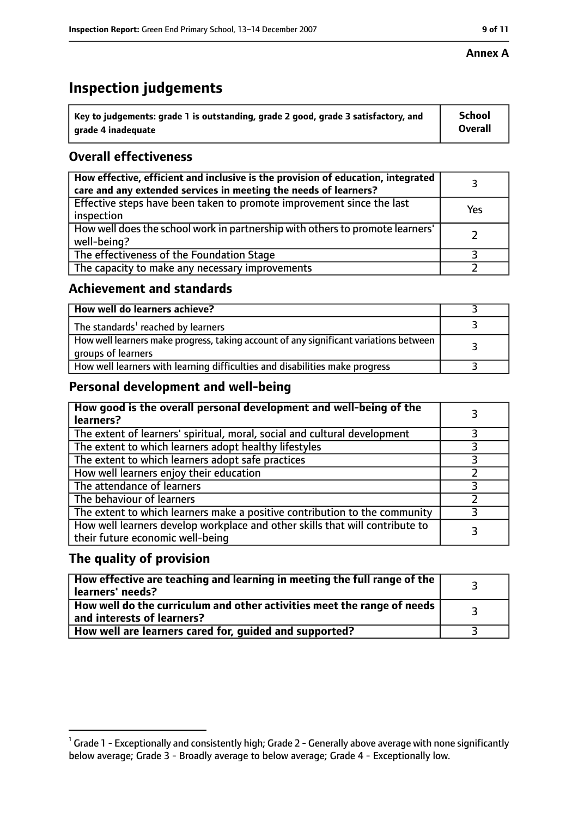# **Inspection judgements**

| $^{\backprime}$ Key to judgements: grade 1 is outstanding, grade 2 good, grade 3 satisfactory, and | <b>School</b>  |
|----------------------------------------------------------------------------------------------------|----------------|
| arade 4 inadequate                                                                                 | <b>Overall</b> |

# **Overall effectiveness**

| How effective, efficient and inclusive is the provision of education, integrated<br>care and any extended services in meeting the needs of learners? |     |
|------------------------------------------------------------------------------------------------------------------------------------------------------|-----|
| Effective steps have been taken to promote improvement since the last<br>inspection                                                                  | Yes |
| How well does the school work in partnership with others to promote learners'<br>well-being?                                                         |     |
| The effectiveness of the Foundation Stage                                                                                                            |     |
| The capacity to make any necessary improvements                                                                                                      |     |

## **Achievement and standards**

| How well do learners achieve?                                                                               |  |
|-------------------------------------------------------------------------------------------------------------|--|
| The standards <sup>1</sup> reached by learners                                                              |  |
| How well learners make progress, taking account of any significant variations between<br>groups of learners |  |
| How well learners with learning difficulties and disabilities make progress                                 |  |

# **Personal development and well-being**

| How good is the overall personal development and well-being of the<br>learners?                                  |  |
|------------------------------------------------------------------------------------------------------------------|--|
| The extent of learners' spiritual, moral, social and cultural development                                        |  |
| The extent to which learners adopt healthy lifestyles                                                            |  |
| The extent to which learners adopt safe practices                                                                |  |
| How well learners enjoy their education                                                                          |  |
| The attendance of learners                                                                                       |  |
| The behaviour of learners                                                                                        |  |
| The extent to which learners make a positive contribution to the community                                       |  |
| How well learners develop workplace and other skills that will contribute to<br>their future economic well-being |  |

# **The quality of provision**

| How effective are teaching and learning in meeting the full range of the<br>learners' needs?          |  |
|-------------------------------------------------------------------------------------------------------|--|
| How well do the curriculum and other activities meet the range of needs<br>and interests of learners? |  |
| How well are learners cared for, quided and supported?                                                |  |

 $^1$  Grade 1 - Exceptionally and consistently high; Grade 2 - Generally above average with none significantly below average; Grade 3 - Broadly average to below average; Grade 4 - Exceptionally low.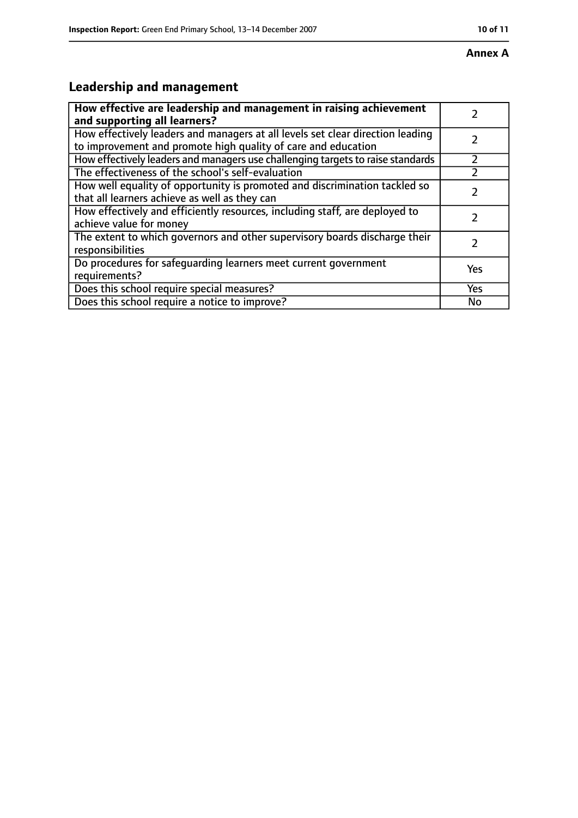# **Leadership and management**

| How effective are leadership and management in raising achievement<br>and supporting all learners?                                              |            |
|-------------------------------------------------------------------------------------------------------------------------------------------------|------------|
| How effectively leaders and managers at all levels set clear direction leading<br>to improvement and promote high quality of care and education |            |
| How effectively leaders and managers use challenging targets to raise standards                                                                 |            |
| The effectiveness of the school's self-evaluation                                                                                               |            |
| How well equality of opportunity is promoted and discrimination tackled so<br>that all learners achieve as well as they can                     |            |
| How effectively and efficiently resources, including staff, are deployed to<br>achieve value for money                                          |            |
| The extent to which governors and other supervisory boards discharge their<br>responsibilities                                                  |            |
| Do procedures for safequarding learners meet current government<br>requirements?                                                                | Yes        |
| Does this school require special measures?                                                                                                      | <b>Yes</b> |
| Does this school require a notice to improve?                                                                                                   | No         |